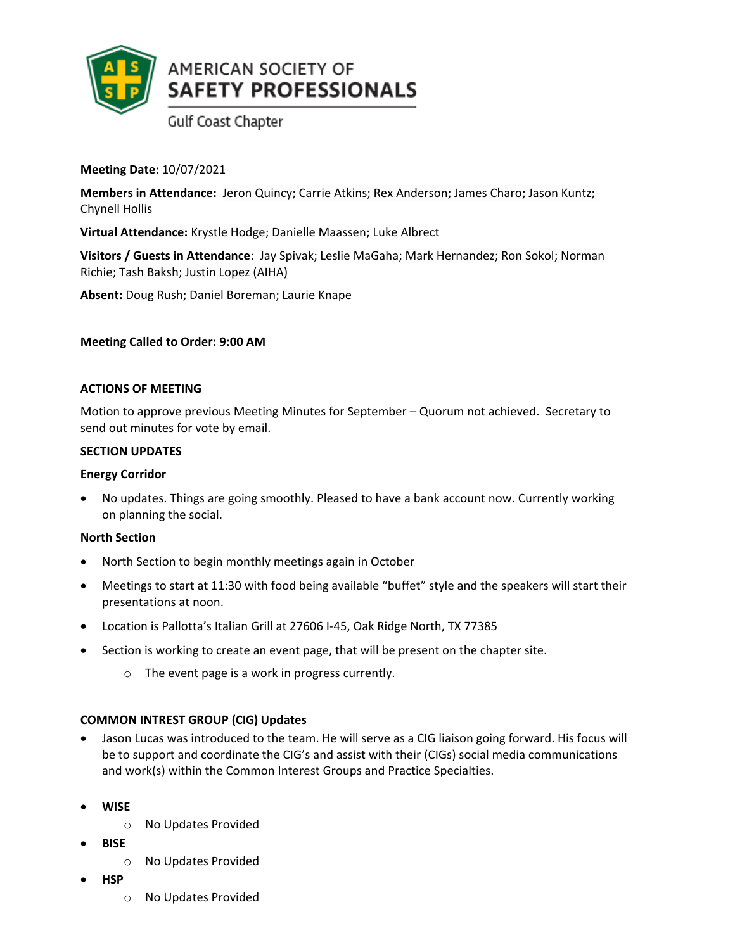

**Gulf Coast Chapter** 

**Meeting Date:** 10/07/2021

**Members in Attendance:** Jeron Quincy; Carrie Atkins; Rex Anderson; James Charo; Jason Kuntz; Chynell Hollis

**Virtual Attendance:** Krystle Hodge; Danielle Maassen; Luke Albrect

**Visitors / Guests in Attendance**: Jay Spivak; Leslie MaGaha; Mark Hernandez; Ron Sokol; Norman Richie; Tash Baksh; Justin Lopez (AIHA)

**Absent:** Doug Rush; Daniel Boreman; Laurie Knape

# **Meeting Called to Order: 9:00 AM**

### **ACTIONS OF MEETING**

Motion to approve previous Meeting Minutes for September – Quorum not achieved. Secretary to send out minutes for vote by email.

# **SECTION UPDATES**

### **Energy Corridor**

• No updates. Things are going smoothly. Pleased to have a bank account now. Currently working on planning the social.

### **North Section**

- North Section to begin monthly meetings again in October
- Meetings to start at 11:30 with food being available "buffet" style and the speakers will start their presentations at noon.
- Location is Pallotta's Italian Grill at 27606 I-45, Oak Ridge North, TX 77385
- Section is working to create an event page, that will be present on the chapter site.
	- o The event page is a work in progress currently.

# **COMMON INTREST GROUP (CIG) Updates**

- Jason Lucas was introduced to the team. He will serve as a CIG liaison going forward. His focus will be to support and coordinate the CIG's and assist with their (CIGs) social media communications and work(s) within the Common Interest Groups and Practice Specialties.
- **WISE**
	- o No Updates Provided
- **BISE**
	- o No Updates Provided
- **HSP**
	- o No Updates Provided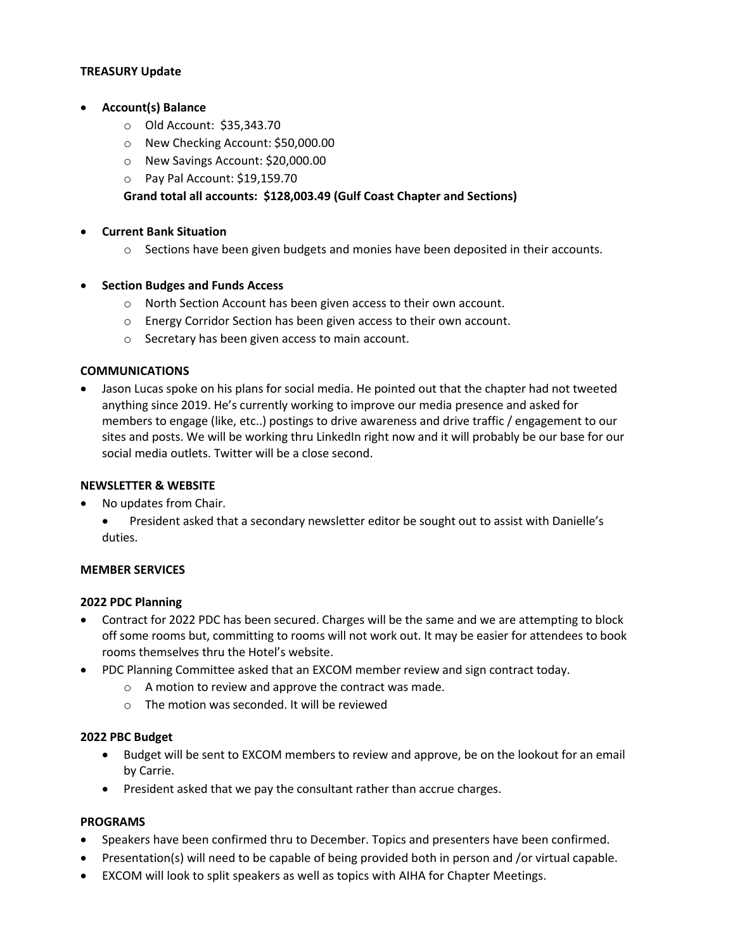### **TREASURY Update**

### • **Account(s) Balance**

- o Old Account: \$35,343.70
- o New Checking Account: \$50,000.00
- o New Savings Account: \$20,000.00
- o Pay Pal Account: \$19,159.70

## **Grand total all accounts: \$128,003.49 (Gulf Coast Chapter and Sections)**

### • **Current Bank Situation**

o Sections have been given budgets and monies have been deposited in their accounts.

### • **Section Budges and Funds Access**

- o North Section Account has been given access to their own account.
- o Energy Corridor Section has been given access to their own account.
- o Secretary has been given access to main account.

#### **COMMUNICATIONS**

• Jason Lucas spoke on his plans for social media. He pointed out that the chapter had not tweeted anything since 2019. He's currently working to improve our media presence and asked for members to engage (like, etc..) postings to drive awareness and drive traffic / engagement to our sites and posts. We will be working thru LinkedIn right now and it will probably be our base for our social media outlets. Twitter will be a close second.

#### **NEWSLETTER & WEBSITE**

- No updates from Chair.
	- President asked that a secondary newsletter editor be sought out to assist with Danielle's duties.

### **MEMBER SERVICES**

### **2022 PDC Planning**

- Contract for 2022 PDC has been secured. Charges will be the same and we are attempting to block off some rooms but, committing to rooms will not work out. It may be easier for attendees to book rooms themselves thru the Hotel's website.
- PDC Planning Committee asked that an EXCOM member review and sign contract today.
	- o A motion to review and approve the contract was made.
		- $\circ$  The motion was seconded. It will be reviewed

#### **2022 PBC Budget**

- Budget will be sent to EXCOM members to review and approve, be on the lookout for an email by Carrie.
- President asked that we pay the consultant rather than accrue charges.

### **PROGRAMS**

- Speakers have been confirmed thru to December. Topics and presenters have been confirmed.
- Presentation(s) will need to be capable of being provided both in person and /or virtual capable.
- EXCOM will look to split speakers as well as topics with AIHA for Chapter Meetings.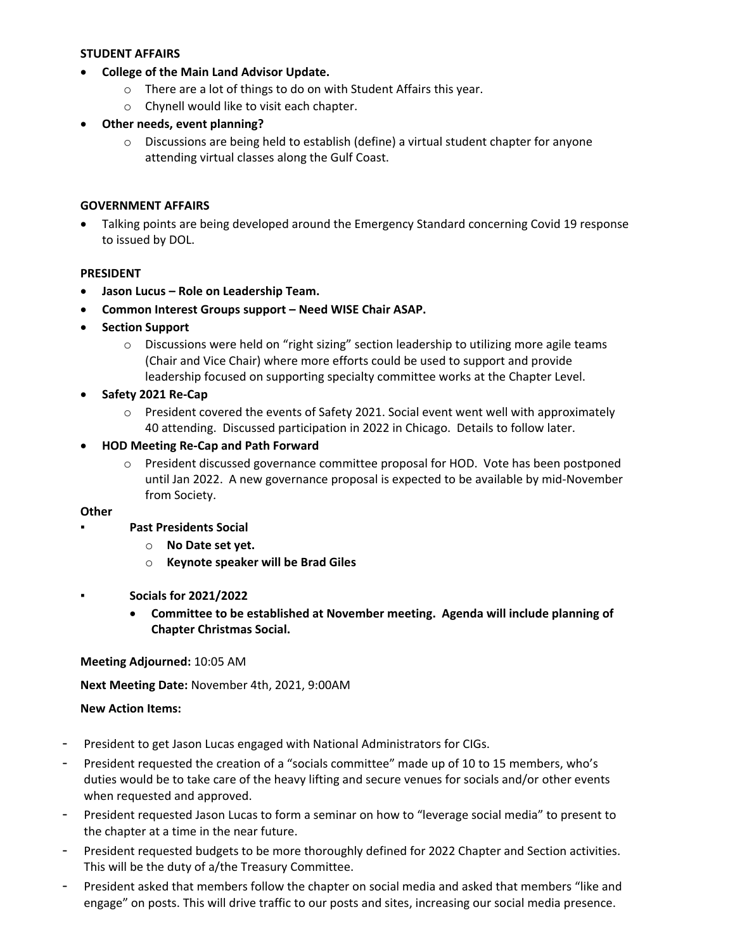### **STUDENT AFFAIRS**

- **College of the Main Land Advisor Update.** 
	- o There are a lot of things to do on with Student Affairs this year.
	- o Chynell would like to visit each chapter.
- **Other needs, event planning?**
	- $\circ$  Discussions are being held to establish (define) a virtual student chapter for anyone attending virtual classes along the Gulf Coast.

### **GOVERNMENT AFFAIRS**

• Talking points are being developed around the Emergency Standard concerning Covid 19 response to issued by DOL.

### **PRESIDENT**

- **Jason Lucus – Role on Leadership Team.**
- **Common Interest Groups support – Need WISE Chair ASAP.**
- **Section Support**
	- $\circ$  Discussions were held on "right sizing" section leadership to utilizing more agile teams (Chair and Vice Chair) where more efforts could be used to support and provide leadership focused on supporting specialty committee works at the Chapter Level.
- **Safety 2021 Re-Cap**
	- o President covered the events of Safety 2021. Social event went well with approximately 40 attending. Discussed participation in 2022 in Chicago. Details to follow later.
- **HOD Meeting Re-Cap and Path Forward**
	- o President discussed governance committee proposal for HOD. Vote has been postponed until Jan 2022. A new governance proposal is expected to be available by mid-November from Society.

#### **Other**

- **▪ Past Presidents Social**
	- o **No Date set yet.**
	- o **Keynote speaker will be Brad Giles**
- **▪ Socials for 2021/2022** 
	- **Committee to be established at November meeting. Agenda will include planning of Chapter Christmas Social.**

#### **Meeting Adjourned:** 10:05 AM

**Next Meeting Date:** November 4th, 2021, 9:00AM

### **New Action Items:**

- President to get Jason Lucas engaged with National Administrators for CIGs.
- President requested the creation of a "socials committee" made up of 10 to 15 members, who's duties would be to take care of the heavy lifting and secure venues for socials and/or other events when requested and approved.
- President requested Jason Lucas to form a seminar on how to "leverage social media" to present to the chapter at a time in the near future.
- President requested budgets to be more thoroughly defined for 2022 Chapter and Section activities. This will be the duty of a/the Treasury Committee.
- President asked that members follow the chapter on social media and asked that members "like and engage" on posts. This will drive traffic to our posts and sites, increasing our social media presence.